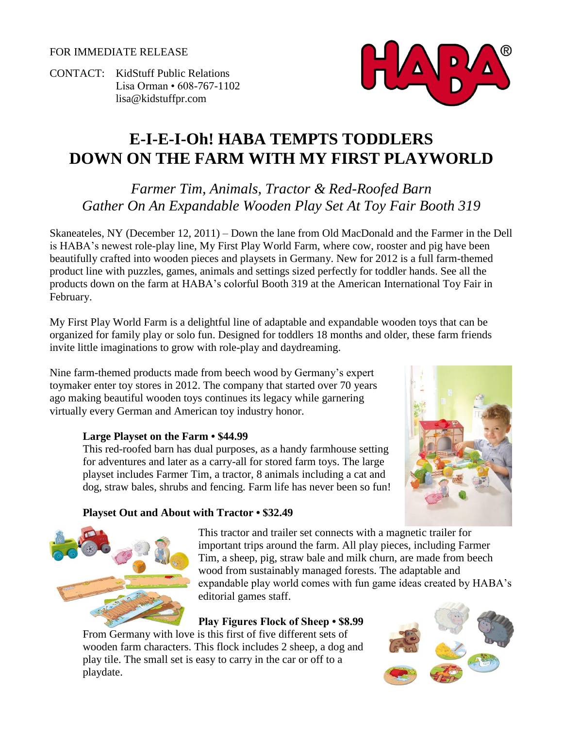FOR IMMEDIATE RELEASE

CONTACT: KidStuff Public Relations Lisa Orman • 608-767-1102 [lisa@kidstuffpr.com](mailto:lisa@kidstuffpr.com)

# **E-I-E-I-Oh! HABA TEMPTS TODDLERS DOWN ON THE FARM WITH MY FIRST PLAYWORLD**

*Farmer Tim, Animals, Tractor & Red-Roofed Barn Gather On An Expandable Wooden Play Set At Toy Fair Booth 319*

Skaneateles, NY (December 12, 2011) – Down the lane from Old MacDonald and the Farmer in the Dell is HABA's newest role-play line, My First Play World Farm, where cow, rooster and pig have been beautifully crafted into wooden pieces and playsets in Germany. New for 2012 is a full farm-themed product line with puzzles, games, animals and settings sized perfectly for toddler hands. See all the products down on the farm at HABA's colorful Booth 319 at the American International Toy Fair in February.

My First Play World Farm is a delightful line of adaptable and expandable wooden toys that can be organized for family play or solo fun. Designed for toddlers 18 months and older, these farm friends invite little imaginations to grow with role-play and daydreaming.

Nine farm-themed products made from beech wood by Germany's expert toymaker enter toy stores in 2012. The company that started over 70 years ago making beautiful wooden toys continues its legacy while garnering virtually every German and American toy industry honor.

## **Large Playset on the Farm • \$44.99**

This red-roofed barn has dual purposes, as a handy farmhouse setting for adventures and later as a carry-all for stored farm toys. The large playset includes Farmer Tim, a tractor, 8 animals including a cat and dog, straw bales, shrubs and fencing. Farm life has never been so fun!



## **Playset Out and About with Tractor • \$32.49**



This tractor and trailer set connects with a magnetic trailer for important trips around the farm. All play pieces, including Farmer Tim, a sheep, pig, straw bale and milk churn, are made from beech wood from sustainably managed forests. The adaptable and expandable play world comes with fun game ideas created by HABA's editorial games staff.

## **Play Figures Flock of Sheep • \$8.99**

From Germany with love is this first of five different sets of wooden farm characters. This flock includes 2 sheep, a dog and play tile. The small set is easy to carry in the car or off to a playdate.